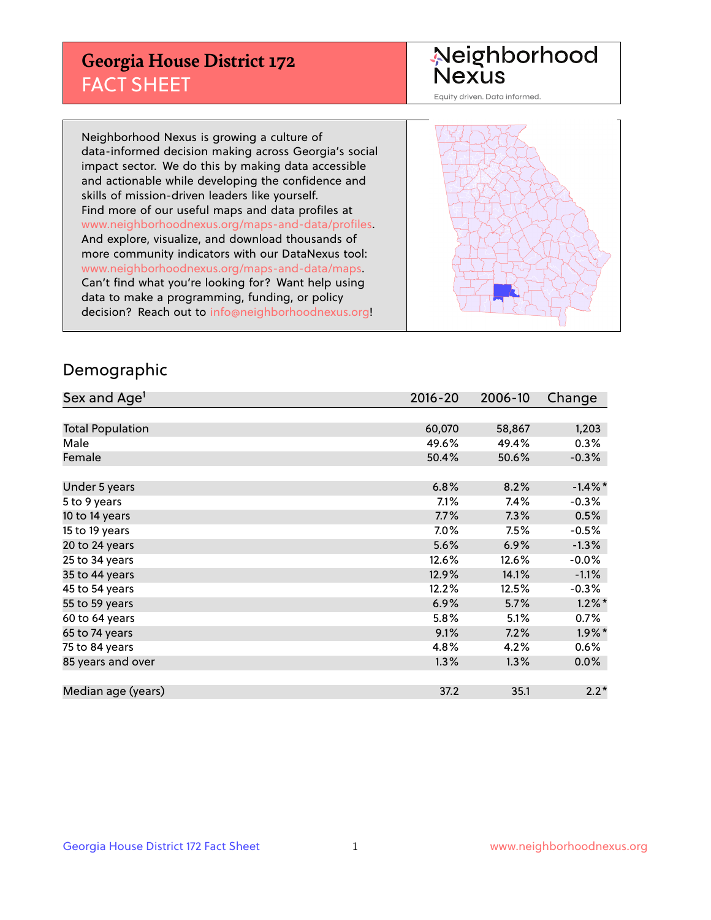## **Georgia House District 172** FACT SHEET

# Neighborhood<br>Nexus

Equity driven. Data informed.

Neighborhood Nexus is growing a culture of data-informed decision making across Georgia's social impact sector. We do this by making data accessible and actionable while developing the confidence and skills of mission-driven leaders like yourself. Find more of our useful maps and data profiles at www.neighborhoodnexus.org/maps-and-data/profiles. And explore, visualize, and download thousands of more community indicators with our DataNexus tool: www.neighborhoodnexus.org/maps-and-data/maps. Can't find what you're looking for? Want help using data to make a programming, funding, or policy decision? Reach out to [info@neighborhoodnexus.org!](mailto:info@neighborhoodnexus.org)



### Demographic

| Sex and Age <sup>1</sup> | $2016 - 20$ | 2006-10 | Change     |
|--------------------------|-------------|---------|------------|
|                          |             |         |            |
| <b>Total Population</b>  | 60,070      | 58,867  | 1,203      |
| Male                     | 49.6%       | 49.4%   | 0.3%       |
| Female                   | 50.4%       | 50.6%   | $-0.3%$    |
|                          |             |         |            |
| Under 5 years            | 6.8%        | 8.2%    | $-1.4\%$ * |
| 5 to 9 years             | $7.1\%$     | 7.4%    | $-0.3%$    |
| 10 to 14 years           | 7.7%        | 7.3%    | 0.5%       |
| 15 to 19 years           | 7.0%        | 7.5%    | $-0.5%$    |
| 20 to 24 years           | 5.6%        | 6.9%    | $-1.3%$    |
| 25 to 34 years           | 12.6%       | 12.6%   | $-0.0\%$   |
| 35 to 44 years           | 12.9%       | 14.1%   | $-1.1%$    |
| 45 to 54 years           | 12.2%       | 12.5%   | $-0.3%$    |
| 55 to 59 years           | 6.9%        | 5.7%    | $1.2\%$ *  |
| 60 to 64 years           | 5.8%        | 5.1%    | 0.7%       |
| 65 to 74 years           | 9.1%        | 7.2%    | $1.9\%$ *  |
| 75 to 84 years           | 4.8%        | 4.2%    | 0.6%       |
| 85 years and over        | 1.3%        | 1.3%    | 0.0%       |
|                          |             |         |            |
| Median age (years)       | 37.2        | 35.1    | $2.2*$     |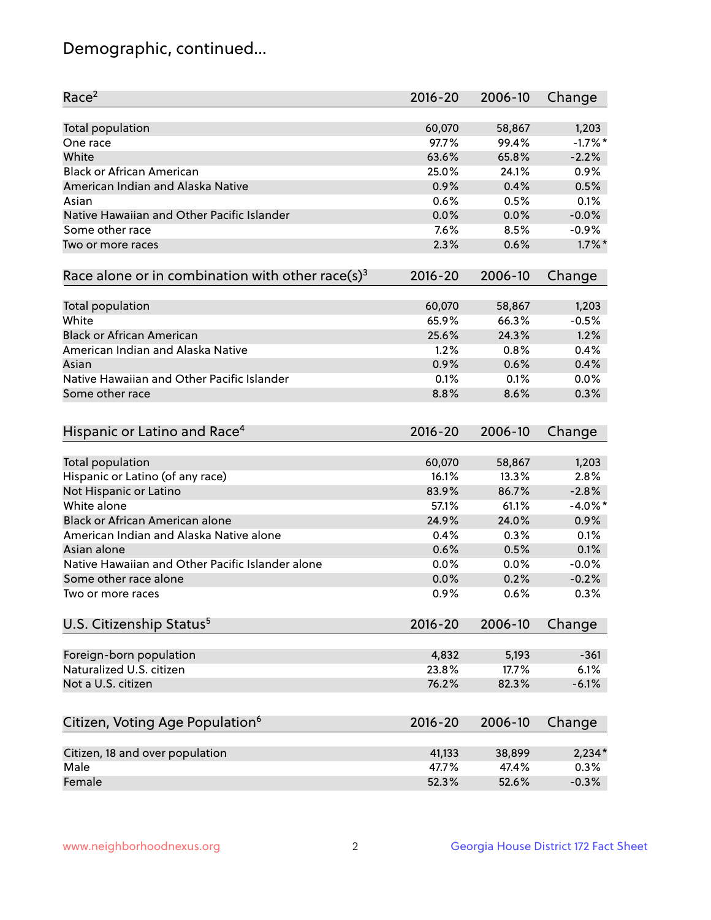## Demographic, continued...

| Race <sup>2</sup>                                            | 2016-20     | 2006-10 | Change     |
|--------------------------------------------------------------|-------------|---------|------------|
| <b>Total population</b>                                      | 60,070      | 58,867  | 1,203      |
| One race                                                     | 97.7%       | 99.4%   | $-1.7%$ *  |
| White                                                        | 63.6%       | 65.8%   | $-2.2%$    |
| <b>Black or African American</b>                             | 25.0%       | 24.1%   | 0.9%       |
| American Indian and Alaska Native                            | 0.9%        | 0.4%    | 0.5%       |
| Asian                                                        | 0.6%        | 0.5%    | 0.1%       |
| Native Hawaiian and Other Pacific Islander                   | 0.0%        | 0.0%    | $-0.0%$    |
| Some other race                                              | 7.6%        | 8.5%    | $-0.9%$    |
| Two or more races                                            | 2.3%        | 0.6%    | $1.7\%$ *  |
|                                                              |             |         |            |
| Race alone or in combination with other race(s) <sup>3</sup> | $2016 - 20$ | 2006-10 | Change     |
| <b>Total population</b>                                      | 60,070      | 58,867  | 1,203      |
| White                                                        | 65.9%       | 66.3%   | $-0.5%$    |
| <b>Black or African American</b>                             | 25.6%       | 24.3%   | 1.2%       |
| American Indian and Alaska Native                            | 1.2%        | 0.8%    | 0.4%       |
| Asian                                                        | 0.9%        | 0.6%    | 0.4%       |
| Native Hawaiian and Other Pacific Islander                   | 0.1%        | 0.1%    | 0.0%       |
| Some other race                                              | 8.8%        | 8.6%    | 0.3%       |
|                                                              |             |         |            |
| Hispanic or Latino and Race <sup>4</sup>                     | $2016 - 20$ | 2006-10 | Change     |
| <b>Total population</b>                                      | 60,070      | 58,867  | 1,203      |
| Hispanic or Latino (of any race)                             | 16.1%       | 13.3%   | 2.8%       |
| Not Hispanic or Latino                                       | 83.9%       | 86.7%   | $-2.8%$    |
| White alone                                                  | 57.1%       | 61.1%   | $-4.0\%$ * |
| <b>Black or African American alone</b>                       | 24.9%       | 24.0%   | 0.9%       |
| American Indian and Alaska Native alone                      | 0.4%        | 0.3%    | 0.1%       |
| Asian alone                                                  | 0.6%        | 0.5%    | 0.1%       |
| Native Hawaiian and Other Pacific Islander alone             |             |         | $-0.0%$    |
|                                                              | 0.0%        | 0.0%    |            |
| Some other race alone                                        | 0.0%        | 0.2%    | $-0.2%$    |
| Two or more races                                            | 0.9%        | 0.6%    | 0.3%       |
| U.S. Citizenship Status <sup>5</sup>                         | $2016 - 20$ | 2006-10 | Change     |
| Foreign-born population                                      | 4,832       | 5,193   | $-361$     |
| Naturalized U.S. citizen                                     | 23.8%       | 17.7%   | 6.1%       |
|                                                              |             |         |            |
| Not a U.S. citizen                                           | 76.2%       | 82.3%   | $-6.1%$    |
| Citizen, Voting Age Population <sup>6</sup>                  | $2016 - 20$ | 2006-10 | Change     |
|                                                              |             |         |            |
| Citizen, 18 and over population                              | 41,133      | 38,899  | $2,234*$   |
| Male                                                         | 47.7%       | 47.4%   | 0.3%       |
| Female                                                       | 52.3%       | 52.6%   | $-0.3%$    |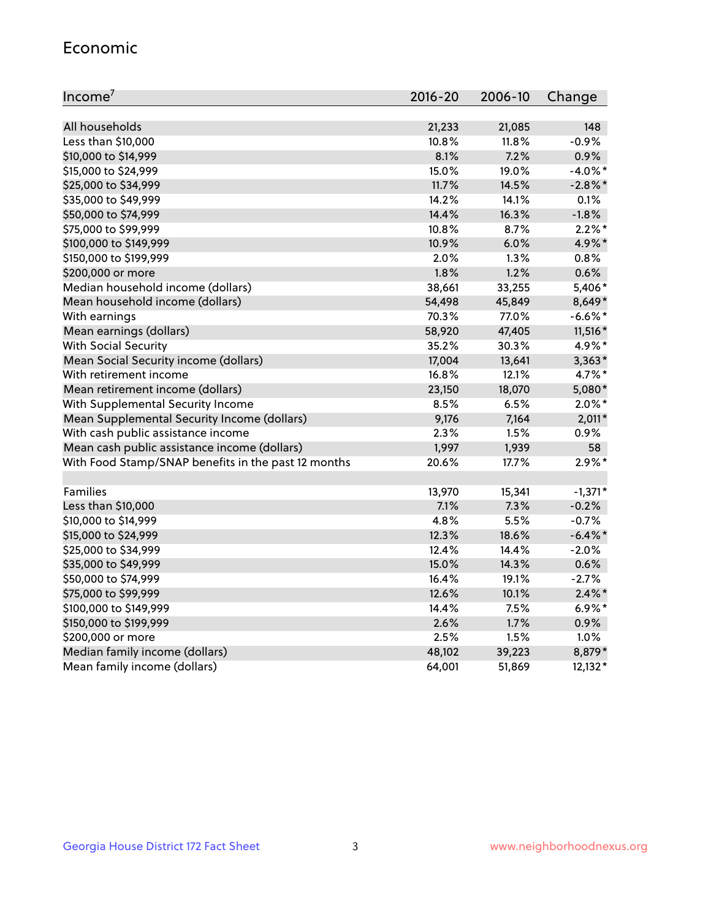#### Economic

| Income <sup>7</sup>                                 | 2016-20 | 2006-10 | Change     |
|-----------------------------------------------------|---------|---------|------------|
|                                                     |         |         |            |
| All households                                      | 21,233  | 21,085  | 148        |
| Less than \$10,000                                  | 10.8%   | 11.8%   | $-0.9%$    |
| \$10,000 to \$14,999                                | 8.1%    | 7.2%    | 0.9%       |
| \$15,000 to \$24,999                                | 15.0%   | 19.0%   | $-4.0\%$ * |
| \$25,000 to \$34,999                                | 11.7%   | 14.5%   | $-2.8\%$ * |
| \$35,000 to \$49,999                                | 14.2%   | 14.1%   | $0.1\%$    |
| \$50,000 to \$74,999                                | 14.4%   | 16.3%   | $-1.8%$    |
| \$75,000 to \$99,999                                | 10.8%   | 8.7%    | $2.2\%$ *  |
| \$100,000 to \$149,999                              | 10.9%   | 6.0%    | 4.9%*      |
| \$150,000 to \$199,999                              | $2.0\%$ | 1.3%    | 0.8%       |
| \$200,000 or more                                   | 1.8%    | 1.2%    | 0.6%       |
| Median household income (dollars)                   | 38,661  | 33,255  | 5,406*     |
| Mean household income (dollars)                     | 54,498  | 45,849  | 8,649*     |
| With earnings                                       | 70.3%   | 77.0%   | $-6.6%$ *  |
| Mean earnings (dollars)                             | 58,920  | 47,405  | 11,516 *   |
| <b>With Social Security</b>                         | 35.2%   | 30.3%   | 4.9%*      |
| Mean Social Security income (dollars)               | 17,004  | 13,641  | $3,363*$   |
| With retirement income                              | 16.8%   | 12.1%   | 4.7%*      |
| Mean retirement income (dollars)                    | 23,150  | 18,070  | 5,080*     |
| With Supplemental Security Income                   | 8.5%    | 6.5%    | $2.0\%$ *  |
| Mean Supplemental Security Income (dollars)         | 9,176   | 7,164   | $2,011*$   |
| With cash public assistance income                  | 2.3%    | 1.5%    | 0.9%       |
| Mean cash public assistance income (dollars)        | 1,997   | 1,939   | 58         |
| With Food Stamp/SNAP benefits in the past 12 months | 20.6%   | 17.7%   | $2.9\%$ *  |
|                                                     |         |         |            |
| <b>Families</b>                                     | 13,970  | 15,341  | $-1,371*$  |
| Less than \$10,000                                  | 7.1%    | 7.3%    | $-0.2%$    |
| \$10,000 to \$14,999                                | 4.8%    | 5.5%    | $-0.7%$    |
| \$15,000 to \$24,999                                | 12.3%   | 18.6%   | $-6.4\%$ * |
| \$25,000 to \$34,999                                | 12.4%   | 14.4%   | $-2.0%$    |
| \$35,000 to \$49,999                                | 15.0%   | 14.3%   | 0.6%       |
| \$50,000 to \$74,999                                | 16.4%   | 19.1%   | $-2.7%$    |
| \$75,000 to \$99,999                                | 12.6%   | 10.1%   | $2.4\%$ *  |
| \$100,000 to \$149,999                              | 14.4%   | 7.5%    | $6.9\%$ *  |
| \$150,000 to \$199,999                              | 2.6%    | 1.7%    | 0.9%       |
| \$200,000 or more                                   | 2.5%    | 1.5%    | 1.0%       |
| Median family income (dollars)                      | 48,102  | 39,223  | 8,879*     |
| Mean family income (dollars)                        | 64,001  | 51,869  | $12,132*$  |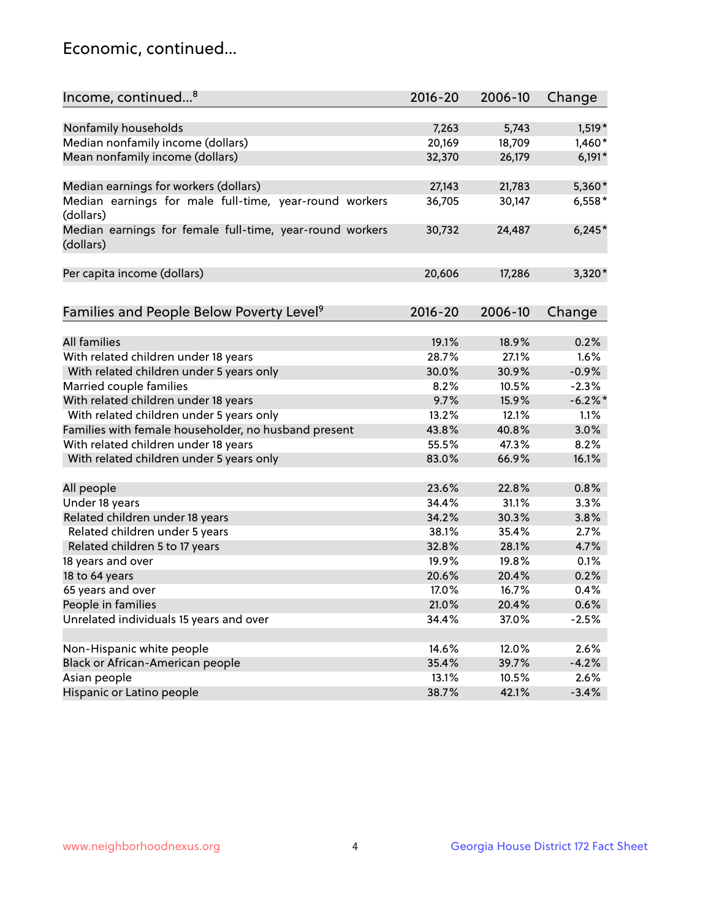## Economic, continued...

| Income, continued <sup>8</sup>                                        | $2016 - 20$ | 2006-10 | Change   |
|-----------------------------------------------------------------------|-------------|---------|----------|
|                                                                       |             |         |          |
| Nonfamily households                                                  | 7,263       | 5,743   | $1,519*$ |
| Median nonfamily income (dollars)                                     | 20,169      | 18,709  | $1,460*$ |
| Mean nonfamily income (dollars)                                       | 32,370      | 26,179  | $6,191*$ |
| Median earnings for workers (dollars)                                 | 27,143      | 21,783  | 5,360*   |
| Median earnings for male full-time, year-round workers<br>(dollars)   | 36,705      | 30,147  | $6,558*$ |
| Median earnings for female full-time, year-round workers<br>(dollars) | 30,732      | 24,487  | $6,245*$ |
| Per capita income (dollars)                                           | 20,606      | 17,286  | 3,320*   |
|                                                                       | $2016 - 20$ | 2006-10 |          |
| Families and People Below Poverty Level <sup>9</sup>                  |             |         | Change   |
| <b>All families</b>                                                   | 19.1%       | 18.9%   | 0.2%     |
| With related children under 18 years                                  | 28.7%       | 27.1%   | 1.6%     |
| With related children under 5 years only                              | 30.0%       | 30.9%   | $-0.9%$  |
| Married couple families                                               | 8.2%        | 10.5%   | $-2.3%$  |
| With related children under 18 years                                  | 9.7%        | 15.9%   | $-6.2%$  |
| With related children under 5 years only                              | 13.2%       | 12.1%   | 1.1%     |
| Families with female householder, no husband present                  | 43.8%       | 40.8%   | 3.0%     |
| With related children under 18 years                                  | 55.5%       | 47.3%   | 8.2%     |
| With related children under 5 years only                              | 83.0%       | 66.9%   | 16.1%    |
| All people                                                            | 23.6%       | 22.8%   | 0.8%     |
| Under 18 years                                                        | 34.4%       | 31.1%   | 3.3%     |
| Related children under 18 years                                       | 34.2%       | 30.3%   | 3.8%     |
| Related children under 5 years                                        | 38.1%       | 35.4%   | 2.7%     |
| Related children 5 to 17 years                                        | 32.8%       | 28.1%   | 4.7%     |
| 18 years and over                                                     | 19.9%       | 19.8%   | 0.1%     |
| 18 to 64 years                                                        | 20.6%       | 20.4%   | 0.2%     |
| 65 years and over                                                     | 17.0%       | 16.7%   | 0.4%     |
| People in families                                                    | 21.0%       | 20.4%   | 0.6%     |
| Unrelated individuals 15 years and over                               | 34.4%       | 37.0%   | $-2.5%$  |
|                                                                       |             |         |          |
| Non-Hispanic white people                                             | 14.6%       | 12.0%   | 2.6%     |
| Black or African-American people                                      | 35.4%       | 39.7%   | $-4.2%$  |
| Asian people                                                          | 13.1%       | 10.5%   | 2.6%     |
| Hispanic or Latino people                                             | 38.7%       | 42.1%   | $-3.4%$  |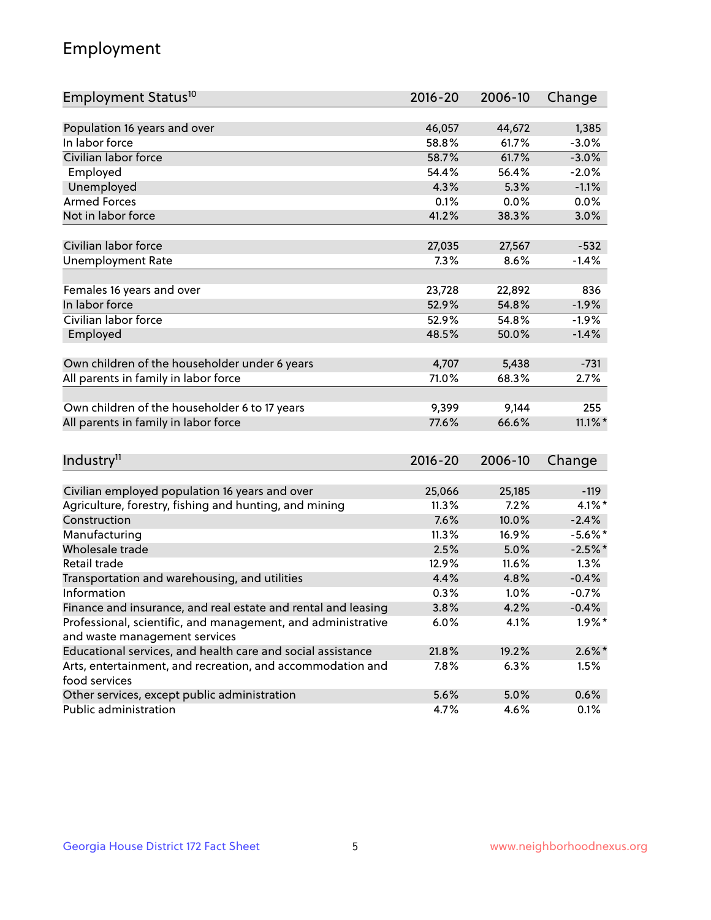## Employment

| Employment Status <sup>10</sup>                                             | $2016 - 20$ | 2006-10 | Change     |
|-----------------------------------------------------------------------------|-------------|---------|------------|
|                                                                             |             |         |            |
| Population 16 years and over                                                | 46,057      | 44,672  | 1,385      |
| In labor force                                                              | 58.8%       | 61.7%   | $-3.0%$    |
| Civilian labor force                                                        | 58.7%       | 61.7%   | $-3.0%$    |
| Employed                                                                    | 54.4%       | 56.4%   | $-2.0%$    |
| Unemployed                                                                  | 4.3%        | 5.3%    | $-1.1%$    |
| <b>Armed Forces</b>                                                         | 0.1%        | 0.0%    | 0.0%       |
| Not in labor force                                                          | 41.2%       | 38.3%   | 3.0%       |
|                                                                             |             |         |            |
| Civilian labor force                                                        | 27,035      | 27,567  | $-532$     |
| <b>Unemployment Rate</b>                                                    | 7.3%        | 8.6%    | $-1.4%$    |
| Females 16 years and over                                                   | 23,728      | 22,892  | 836        |
| In labor force                                                              | 52.9%       | 54.8%   | $-1.9%$    |
| Civilian labor force                                                        | 52.9%       | 54.8%   | $-1.9%$    |
|                                                                             | 48.5%       | 50.0%   | $-1.4%$    |
| Employed                                                                    |             |         |            |
| Own children of the householder under 6 years                               | 4,707       | 5,438   | $-731$     |
| All parents in family in labor force                                        | 71.0%       | 68.3%   | 2.7%       |
|                                                                             |             |         |            |
| Own children of the householder 6 to 17 years                               | 9,399       | 9,144   | 255        |
| All parents in family in labor force                                        | 77.6%       | 66.6%   | $11.1\%$ * |
|                                                                             |             |         |            |
| Industry <sup>11</sup>                                                      | $2016 - 20$ | 2006-10 | Change     |
|                                                                             |             |         |            |
| Civilian employed population 16 years and over                              | 25,066      | 25,185  | $-119$     |
| Agriculture, forestry, fishing and hunting, and mining                      | 11.3%       | 7.2%    | 4.1%*      |
| Construction                                                                | 7.6%        | 10.0%   | $-2.4%$    |
| Manufacturing                                                               | 11.3%       | 16.9%   | $-5.6\%$ * |
| Wholesale trade                                                             | 2.5%        | 5.0%    | $-2.5%$    |
| Retail trade                                                                | 12.9%       | 11.6%   | 1.3%       |
| Transportation and warehousing, and utilities                               | 4.4%        | 4.8%    | $-0.4%$    |
| Information                                                                 | 0.3%        | 1.0%    | $-0.7%$    |
| Finance and insurance, and real estate and rental and leasing               | 3.8%        | 4.2%    | $-0.4%$    |
| Professional, scientific, and management, and administrative                | 6.0%        | 4.1%    | $1.9\%$ *  |
| and waste management services                                               |             |         |            |
| Educational services, and health care and social assistance                 | 21.8%       | 19.2%   | $2.6\%$ *  |
| Arts, entertainment, and recreation, and accommodation and<br>food services | 7.8%        | 6.3%    | $1.5\%$    |
| Other services, except public administration                                | 5.6%        | 5.0%    | 0.6%       |
| Public administration                                                       | 4.7%        | 4.6%    | 0.1%       |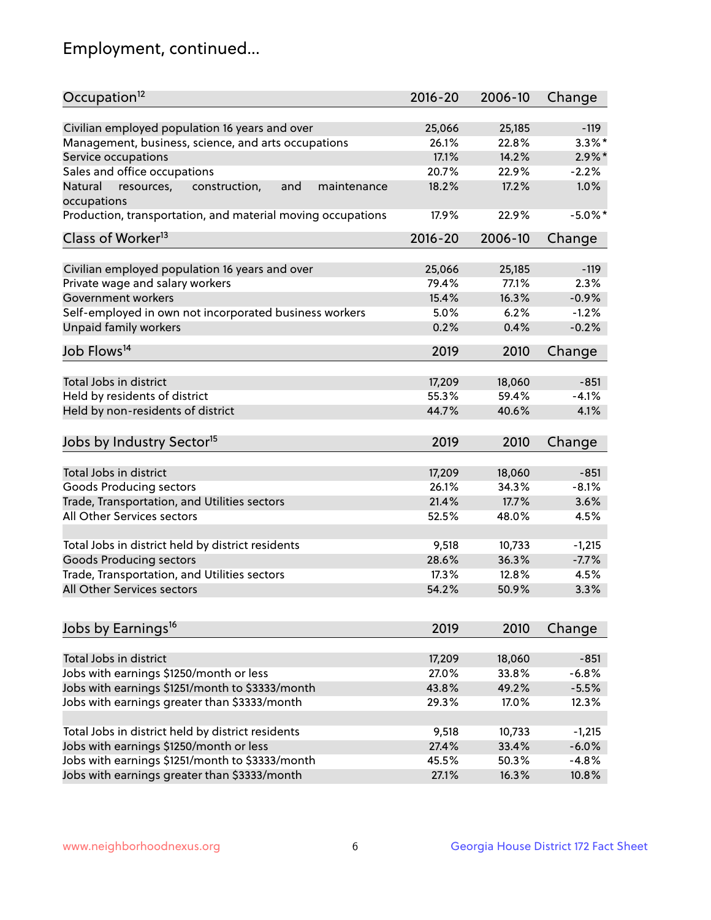## Employment, continued...

| Occupation <sup>12</sup>                                    | $2016 - 20$ | 2006-10 | Change     |
|-------------------------------------------------------------|-------------|---------|------------|
| Civilian employed population 16 years and over              | 25,066      | 25,185  | $-119$     |
| Management, business, science, and arts occupations         | 26.1%       | 22.8%   | $3.3\%$ *  |
| Service occupations                                         | 17.1%       | 14.2%   | $2.9\%$ *  |
| Sales and office occupations                                | 20.7%       | 22.9%   | $-2.2%$    |
| and<br>Natural<br>maintenance                               | 18.2%       | 17.2%   | 1.0%       |
| resources,<br>construction,<br>occupations                  |             |         |            |
| Production, transportation, and material moving occupations | 17.9%       | 22.9%   | $-5.0\%$ * |
| Class of Worker <sup>13</sup>                               | $2016 - 20$ | 2006-10 | Change     |
|                                                             |             |         | $-119$     |
| Civilian employed population 16 years and over              | 25,066      | 25,185  |            |
| Private wage and salary workers                             | 79.4%       | 77.1%   | 2.3%       |
| Government workers                                          | 15.4%       | 16.3%   | $-0.9%$    |
| Self-employed in own not incorporated business workers      | 5.0%        | 6.2%    | $-1.2%$    |
| Unpaid family workers                                       | 0.2%        | 0.4%    | $-0.2%$    |
| Job Flows <sup>14</sup>                                     | 2019        | 2010    | Change     |
|                                                             |             |         |            |
| Total Jobs in district                                      | 17,209      | 18,060  | $-851$     |
| Held by residents of district                               | 55.3%       | 59.4%   | $-4.1%$    |
| Held by non-residents of district                           | 44.7%       | 40.6%   | 4.1%       |
| Jobs by Industry Sector <sup>15</sup>                       | 2019        | 2010    | Change     |
|                                                             |             |         |            |
| Total Jobs in district                                      | 17,209      | 18,060  | $-851$     |
| Goods Producing sectors                                     | 26.1%       | 34.3%   | $-8.1%$    |
| Trade, Transportation, and Utilities sectors                | 21.4%       | 17.7%   | 3.6%       |
| All Other Services sectors                                  | 52.5%       | 48.0%   | 4.5%       |
| Total Jobs in district held by district residents           | 9,518       | 10,733  | $-1,215$   |
| <b>Goods Producing sectors</b>                              | 28.6%       | 36.3%   | $-7.7%$    |
| Trade, Transportation, and Utilities sectors                | 17.3%       | 12.8%   | 4.5%       |
| All Other Services sectors                                  | 54.2%       | 50.9%   | 3.3%       |
|                                                             |             |         |            |
| Jobs by Earnings <sup>16</sup>                              | 2019        | 2010    | Change     |
|                                                             |             |         |            |
| Total Jobs in district                                      | 17,209      | 18,060  | $-851$     |
| Jobs with earnings \$1250/month or less                     | 27.0%       | 33.8%   | $-6.8%$    |
| Jobs with earnings \$1251/month to \$3333/month             | 43.8%       | 49.2%   | $-5.5%$    |
| Jobs with earnings greater than \$3333/month                | 29.3%       | 17.0%   | 12.3%      |
| Total Jobs in district held by district residents           | 9,518       | 10,733  | $-1,215$   |
| Jobs with earnings \$1250/month or less                     | 27.4%       | 33.4%   | $-6.0%$    |
| Jobs with earnings \$1251/month to \$3333/month             | 45.5%       | 50.3%   | $-4.8%$    |
| Jobs with earnings greater than \$3333/month                | 27.1%       | 16.3%   | 10.8%      |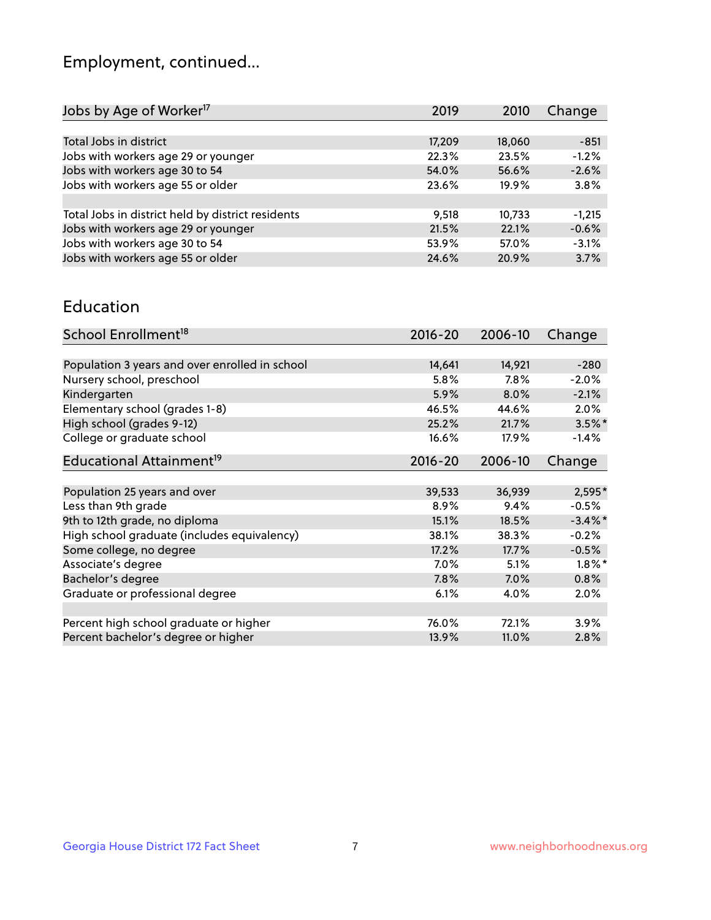## Employment, continued...

| Jobs by Age of Worker <sup>17</sup>               | 2019   | 2010   | Change   |
|---------------------------------------------------|--------|--------|----------|
|                                                   |        |        |          |
| Total Jobs in district                            | 17,209 | 18,060 | $-851$   |
| Jobs with workers age 29 or younger               | 22.3%  | 23.5%  | $-1.2%$  |
| Jobs with workers age 30 to 54                    | 54.0%  | 56.6%  | $-2.6%$  |
| Jobs with workers age 55 or older                 | 23.6%  | 19.9%  | 3.8%     |
|                                                   |        |        |          |
| Total Jobs in district held by district residents | 9,518  | 10,733 | $-1,215$ |
| Jobs with workers age 29 or younger               | 21.5%  | 22.1%  | $-0.6%$  |
| Jobs with workers age 30 to 54                    | 53.9%  | 57.0%  | $-3.1%$  |
| Jobs with workers age 55 or older                 | 24.6%  | 20.9%  | 3.7%     |

#### Education

| School Enrollment <sup>18</sup>                | $2016 - 20$ | 2006-10 | Change     |
|------------------------------------------------|-------------|---------|------------|
|                                                |             |         |            |
| Population 3 years and over enrolled in school | 14,641      | 14,921  | $-280$     |
| Nursery school, preschool                      | 5.8%        | 7.8%    | $-2.0%$    |
| Kindergarten                                   | 5.9%        | 8.0%    | $-2.1%$    |
| Elementary school (grades 1-8)                 | 46.5%       | 44.6%   | 2.0%       |
| High school (grades 9-12)                      | 25.2%       | 21.7%   | $3.5\%$ *  |
| College or graduate school                     | 16.6%       | 17.9%   | $-1.4%$    |
| Educational Attainment <sup>19</sup>           | $2016 - 20$ | 2006-10 | Change     |
|                                                |             |         |            |
| Population 25 years and over                   | 39,533      | 36,939  | 2,595*     |
| Less than 9th grade                            | 8.9%        | 9.4%    | $-0.5%$    |
| 9th to 12th grade, no diploma                  | 15.1%       | 18.5%   | $-3.4\%$ * |
| High school graduate (includes equivalency)    | 38.1%       | 38.3%   | $-0.2%$    |
| Some college, no degree                        | 17.2%       | 17.7%   | $-0.5%$    |
| Associate's degree                             | 7.0%        | 5.1%    | $1.8\%$ *  |
| Bachelor's degree                              | 7.8%        | 7.0%    | 0.8%       |
| Graduate or professional degree                | 6.1%        | 4.0%    | $2.0\%$    |
|                                                |             |         |            |
| Percent high school graduate or higher         | 76.0%       | 72.1%   | 3.9%       |
| Percent bachelor's degree or higher            | 13.9%       | 11.0%   | 2.8%       |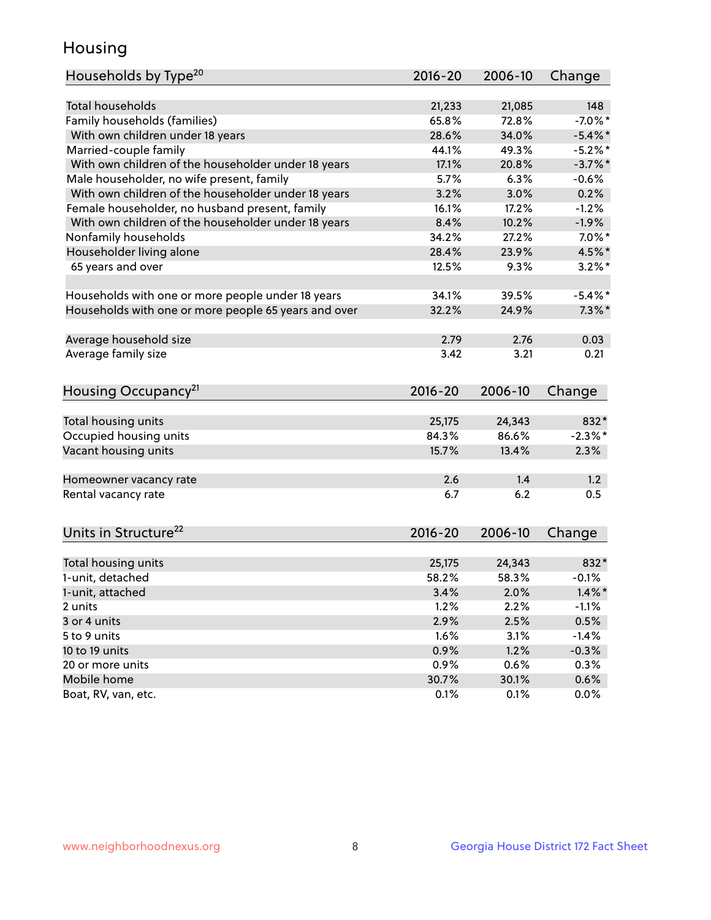## Housing

| Households by Type <sup>20</sup>                     | 2016-20     | 2006-10 | Change     |
|------------------------------------------------------|-------------|---------|------------|
|                                                      |             |         |            |
| <b>Total households</b>                              | 21,233      | 21,085  | 148        |
| Family households (families)                         | 65.8%       | 72.8%   | $-7.0\%$ * |
| With own children under 18 years                     | 28.6%       | 34.0%   | $-5.4\%$ * |
| Married-couple family                                | 44.1%       | 49.3%   | $-5.2%$    |
| With own children of the householder under 18 years  | 17.1%       | 20.8%   | $-3.7%$ *  |
| Male householder, no wife present, family            | 5.7%        | 6.3%    | $-0.6%$    |
| With own children of the householder under 18 years  | 3.2%        | 3.0%    | 0.2%       |
| Female householder, no husband present, family       | 16.1%       | 17.2%   | $-1.2%$    |
| With own children of the householder under 18 years  | 8.4%        | 10.2%   | $-1.9%$    |
| Nonfamily households                                 | 34.2%       | 27.2%   | $7.0\%$ *  |
| Householder living alone                             | 28.4%       | 23.9%   | 4.5%*      |
| 65 years and over                                    | 12.5%       | 9.3%    | $3.2\%$ *  |
| Households with one or more people under 18 years    | 34.1%       | 39.5%   | $-5.4\%$ * |
| Households with one or more people 65 years and over | 32.2%       | 24.9%   | $7.3\%$ *  |
| Average household size                               | 2.79        | 2.76    | 0.03       |
| Average family size                                  | 3.42        | 3.21    | 0.21       |
|                                                      |             |         |            |
| Housing Occupancy <sup>21</sup>                      | $2016 - 20$ | 2006-10 | Change     |
| Total housing units                                  | 25,175      | 24,343  | 832*       |
| Occupied housing units                               | 84.3%       | 86.6%   | $-2.3%$ *  |
| Vacant housing units                                 | 15.7%       | 13.4%   | 2.3%       |
|                                                      |             |         |            |
| Homeowner vacancy rate                               | 2.6         | 1.4     | 1.2        |
| Rental vacancy rate                                  | 6.7         | 6.2     | 0.5        |
|                                                      |             |         |            |
| Units in Structure <sup>22</sup>                     | $2016 - 20$ | 2006-10 | Change     |
| Total housing units                                  | 25,175      | 24,343  | 832*       |
| 1-unit, detached                                     | 58.2%       | 58.3%   | $-0.1%$    |
| 1-unit, attached                                     | 3.4%        | 2.0%    | $1.4\%$ *  |
| 2 units                                              | 1.2%        | 2.2%    | $-1.1%$    |
| 3 or 4 units                                         | 2.9%        | 2.5%    | 0.5%       |
| 5 to 9 units                                         | 1.6%        | 3.1%    | $-1.4%$    |
| 10 to 19 units                                       | 0.9%        | 1.2%    | $-0.3%$    |
| 20 or more units                                     | 0.9%        | 0.6%    | 0.3%       |
| Mobile home                                          | 30.7%       | 30.1%   | 0.6%       |
| Boat, RV, van, etc.                                  | 0.1%        | 0.1%    | 0.0%       |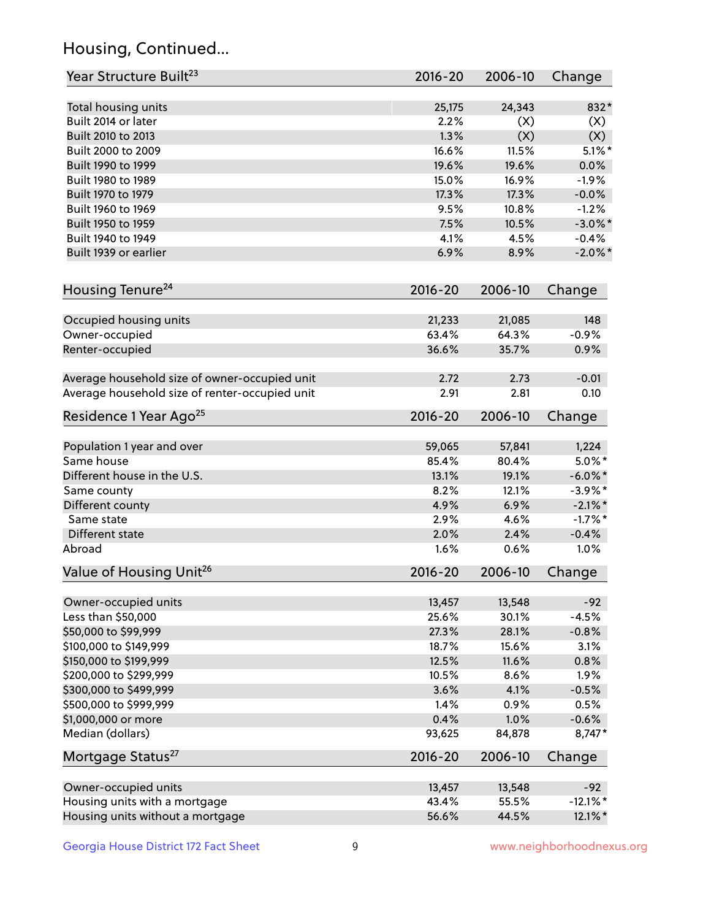## Housing, Continued...

| Year Structure Built <sup>23</sup>             | 2016-20     | 2006-10 | Change      |
|------------------------------------------------|-------------|---------|-------------|
| Total housing units                            | 25,175      | 24,343  | 832*        |
| Built 2014 or later                            | 2.2%        | (X)     | (X)         |
| Built 2010 to 2013                             | 1.3%        | (X)     | (X)         |
| Built 2000 to 2009                             | 16.6%       | 11.5%   | $5.1\%$ *   |
| Built 1990 to 1999                             | 19.6%       | 19.6%   | 0.0%        |
| Built 1980 to 1989                             | 15.0%       | 16.9%   | $-1.9%$     |
| Built 1970 to 1979                             | 17.3%       | 17.3%   | $-0.0%$     |
| Built 1960 to 1969                             | 9.5%        | 10.8%   | $-1.2%$     |
| Built 1950 to 1959                             | 7.5%        | 10.5%   | $-3.0\%$ *  |
| Built 1940 to 1949                             | 4.1%        | 4.5%    | $-0.4%$     |
|                                                |             |         |             |
| Built 1939 or earlier                          | 6.9%        | 8.9%    | $-2.0\%$ *  |
| Housing Tenure <sup>24</sup>                   | $2016 - 20$ | 2006-10 | Change      |
| Occupied housing units                         | 21,233      | 21,085  | 148         |
| Owner-occupied                                 | 63.4%       | 64.3%   | $-0.9%$     |
| Renter-occupied                                | 36.6%       | 35.7%   | 0.9%        |
| Average household size of owner-occupied unit  | 2.72        | 2.73    | $-0.01$     |
| Average household size of renter-occupied unit | 2.91        | 2.81    | 0.10        |
| Residence 1 Year Ago <sup>25</sup>             | $2016 - 20$ | 2006-10 | Change      |
| Population 1 year and over                     | 59,065      | 57,841  | 1,224       |
| Same house                                     | 85.4%       | 80.4%   | $5.0\%$ *   |
| Different house in the U.S.                    | 13.1%       | 19.1%   | $-6.0\%$ *  |
|                                                | 8.2%        | 12.1%   | $-3.9\%$ *  |
| Same county<br>Different county                | 4.9%        | 6.9%    | $-2.1\%$ *  |
| Same state                                     | 2.9%        | 4.6%    | $-1.7%$ *   |
|                                                |             | 2.4%    |             |
| Different state                                | 2.0%        | 0.6%    | $-0.4%$     |
| Abroad                                         | 1.6%        |         | 1.0%        |
| Value of Housing Unit <sup>26</sup>            | $2016 - 20$ | 2006-10 | Change      |
| Owner-occupied units                           | 13,457      | 13,548  | $-92$       |
| Less than \$50,000                             | 25.6%       | 30.1%   | $-4.5%$     |
| \$50,000 to \$99,999                           | 27.3%       | 28.1%   | $-0.8%$     |
| \$100,000 to \$149,999                         | 18.7%       | 15.6%   | 3.1%        |
| \$150,000 to \$199,999                         | 12.5%       | 11.6%   | 0.8%        |
| \$200,000 to \$299,999                         | 10.5%       | 8.6%    | 1.9%        |
| \$300,000 to \$499,999                         | 3.6%        | 4.1%    | $-0.5%$     |
| \$500,000 to \$999,999                         | 1.4%        | 0.9%    | 0.5%        |
| \$1,000,000 or more                            | 0.4%        | 1.0%    | $-0.6%$     |
| Median (dollars)                               | 93,625      | 84,878  | 8,747*      |
| Mortgage Status <sup>27</sup>                  | $2016 - 20$ | 2006-10 | Change      |
| Owner-occupied units                           | 13,457      | 13,548  | $-92$       |
| Housing units with a mortgage                  | 43.4%       | 55.5%   | $-12.1\%$ * |
| Housing units without a mortgage               | 56.6%       | 44.5%   | 12.1%*      |
|                                                |             |         |             |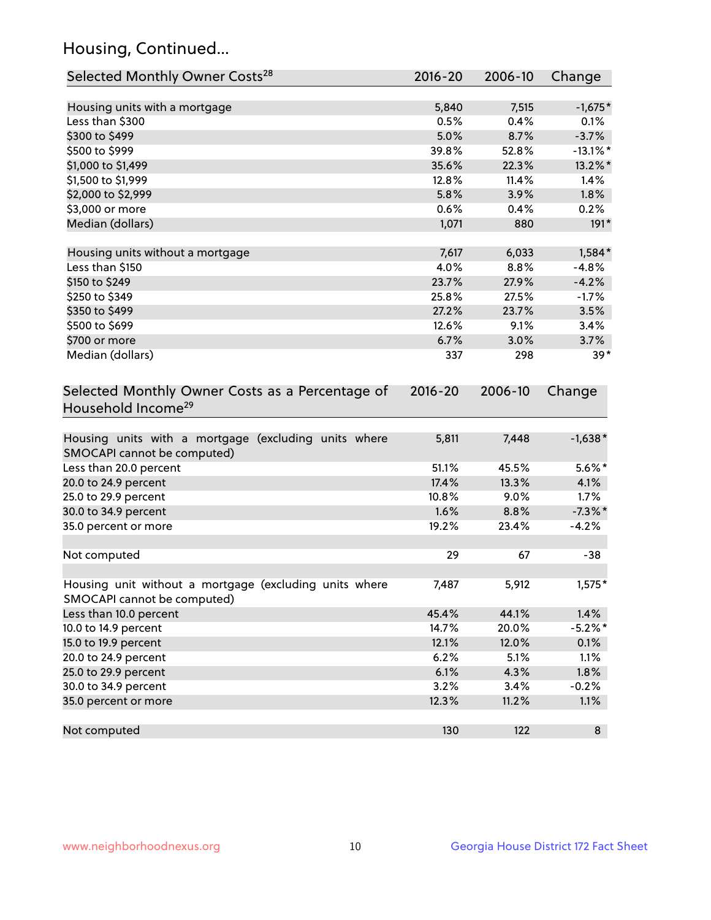## Housing, Continued...

| Selected Monthly Owner Costs <sup>28</sup>                                            | 2016-20 | 2006-10 | Change      |
|---------------------------------------------------------------------------------------|---------|---------|-------------|
| Housing units with a mortgage                                                         | 5,840   | 7,515   | $-1,675*$   |
| Less than \$300                                                                       | 0.5%    | 0.4%    | 0.1%        |
| \$300 to \$499                                                                        | 5.0%    | 8.7%    | $-3.7%$     |
| \$500 to \$999                                                                        | 39.8%   | 52.8%   | $-13.1\%$ * |
| \$1,000 to \$1,499                                                                    | 35.6%   | 22.3%   | 13.2%*      |
| \$1,500 to \$1,999                                                                    | 12.8%   | 11.4%   | 1.4%        |
| \$2,000 to \$2,999                                                                    | 5.8%    | 3.9%    | 1.8%        |
| \$3,000 or more                                                                       | 0.6%    | 0.4%    | 0.2%        |
| Median (dollars)                                                                      | 1,071   | 880     | $191*$      |
| Housing units without a mortgage                                                      | 7,617   | 6,033   | $1,584*$    |
| Less than \$150                                                                       | 4.0%    | 8.8%    | $-4.8%$     |
| \$150 to \$249                                                                        | 23.7%   | 27.9%   | $-4.2%$     |
| \$250 to \$349                                                                        | 25.8%   | 27.5%   | $-1.7%$     |
| \$350 to \$499                                                                        | 27.2%   | 23.7%   | 3.5%        |
| \$500 to \$699                                                                        | 12.6%   | 9.1%    | 3.4%        |
| \$700 or more                                                                         | 6.7%    | 3.0%    | 3.7%        |
| Median (dollars)                                                                      | 337     | 298     | $39*$       |
| Selected Monthly Owner Costs as a Percentage of<br>Household Income <sup>29</sup>     |         |         | Change      |
| Housing units with a mortgage (excluding units where<br>SMOCAPI cannot be computed)   | 5,811   | 7,448   | $-1,638*$   |
| Less than 20.0 percent                                                                | 51.1%   | 45.5%   | $5.6\%$ *   |
| 20.0 to 24.9 percent                                                                  | 17.4%   | 13.3%   | 4.1%        |
| 25.0 to 29.9 percent                                                                  | 10.8%   | 9.0%    | 1.7%        |
| 30.0 to 34.9 percent                                                                  | 1.6%    | 8.8%    | $-7.3\%$ *  |
| 35.0 percent or more                                                                  | 19.2%   | 23.4%   | $-4.2%$     |
| Not computed                                                                          | 29      | 67      | $-38$       |
| Housing unit without a mortgage (excluding units where<br>SMOCAPI cannot be computed) | 7,487   | 5,912   | $1,575*$    |
| Less than 10.0 percent                                                                | 45.4%   | 44.1%   | 1.4%        |
| 10.0 to 14.9 percent                                                                  | 14.7%   | 20.0%   | $-5.2\%$ *  |
| 15.0 to 19.9 percent                                                                  | 12.1%   | 12.0%   | 0.1%        |
| 20.0 to 24.9 percent                                                                  | 6.2%    | 5.1%    | 1.1%        |
| 25.0 to 29.9 percent                                                                  | 6.1%    | 4.3%    | 1.8%        |
| 30.0 to 34.9 percent                                                                  | 3.2%    | 3.4%    | $-0.2%$     |
| 35.0 percent or more                                                                  | 12.3%   | 11.2%   | 1.1%        |
| Not computed                                                                          | 130     | 122     | 8           |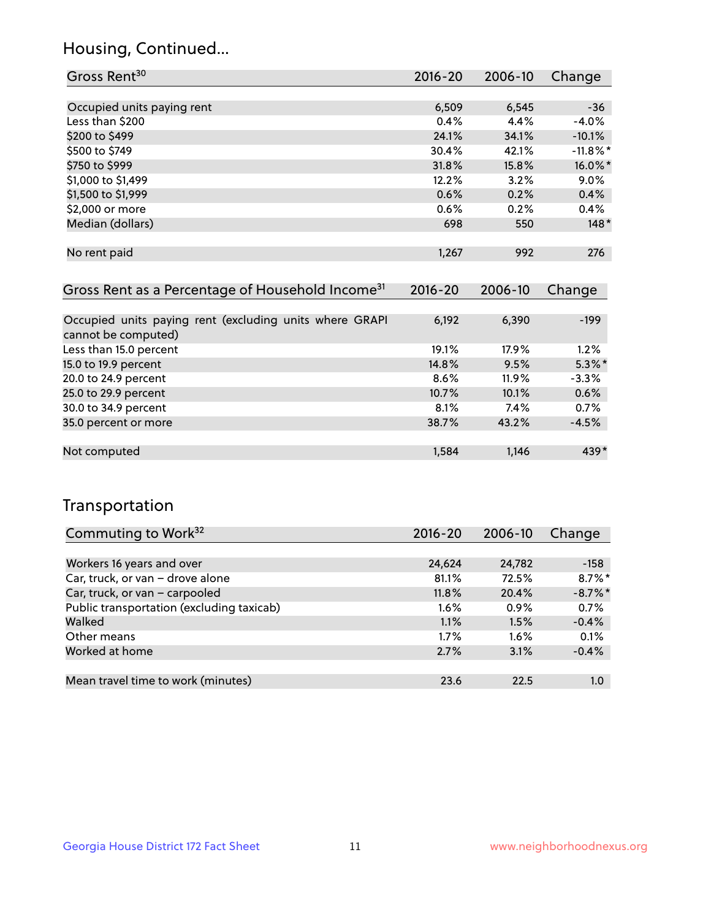## Housing, Continued...

| Gross Rent <sup>30</sup>   | 2016-20 | 2006-10 | Change      |
|----------------------------|---------|---------|-------------|
|                            |         |         |             |
| Occupied units paying rent | 6,509   | 6,545   | $-36$       |
| Less than \$200            | 0.4%    | 4.4%    | $-4.0%$     |
| \$200 to \$499             | 24.1%   | 34.1%   | $-10.1%$    |
| \$500 to \$749             | 30.4%   | 42.1%   | $-11.8\%$ * |
| \$750 to \$999             | 31.8%   | 15.8%   | 16.0%*      |
| \$1,000 to \$1,499         | 12.2%   | 3.2%    | 9.0%        |
| \$1,500 to \$1,999         | 0.6%    | 0.2%    | 0.4%        |
| \$2,000 or more            | 0.6%    | 0.2%    | 0.4%        |
| Median (dollars)           | 698     | 550     | $148*$      |
|                            |         |         |             |
| No rent paid               | 1,267   | 992     | 276         |
|                            |         |         |             |

| Gross Rent as a Percentage of Household Income <sup>31</sup>                   | $2016 - 20$ | 2006-10 | Change    |
|--------------------------------------------------------------------------------|-------------|---------|-----------|
|                                                                                |             |         |           |
| Occupied units paying rent (excluding units where GRAPI<br>cannot be computed) | 6,192       | 6,390   | $-199$    |
| Less than 15.0 percent                                                         | 19.1%       | 17.9%   | $1.2\%$   |
| 15.0 to 19.9 percent                                                           | 14.8%       | 9.5%    | $5.3\%$ * |
| 20.0 to 24.9 percent                                                           | 8.6%        | 11.9%   | $-3.3%$   |
| 25.0 to 29.9 percent                                                           | 10.7%       | 10.1%   | 0.6%      |
| 30.0 to 34.9 percent                                                           | 8.1%        | 7.4%    | 0.7%      |
| 35.0 percent or more                                                           | 38.7%       | 43.2%   | $-4.5%$   |
|                                                                                |             |         |           |
| Not computed                                                                   | 1,584       | 1,146   | 439*      |

## Transportation

| Commuting to Work <sup>32</sup>           | $2016 - 20$ | 2006-10 | Change     |
|-------------------------------------------|-------------|---------|------------|
|                                           |             |         |            |
| Workers 16 years and over                 | 24,624      | 24,782  | $-158$     |
| Car, truck, or van - drove alone          | 81.1%       | 72.5%   | $8.7\%$ *  |
| Car, truck, or van - carpooled            | 11.8%       | 20.4%   | $-8.7\%$ * |
| Public transportation (excluding taxicab) | $1.6\%$     | 0.9%    | 0.7%       |
| Walked                                    | 1.1%        | 1.5%    | $-0.4%$    |
| Other means                               | $1.7\%$     | $1.6\%$ | 0.1%       |
| Worked at home                            | 2.7%        | 3.1%    | $-0.4%$    |
|                                           |             |         |            |
| Mean travel time to work (minutes)        | 23.6        | 22.5    | 1.0        |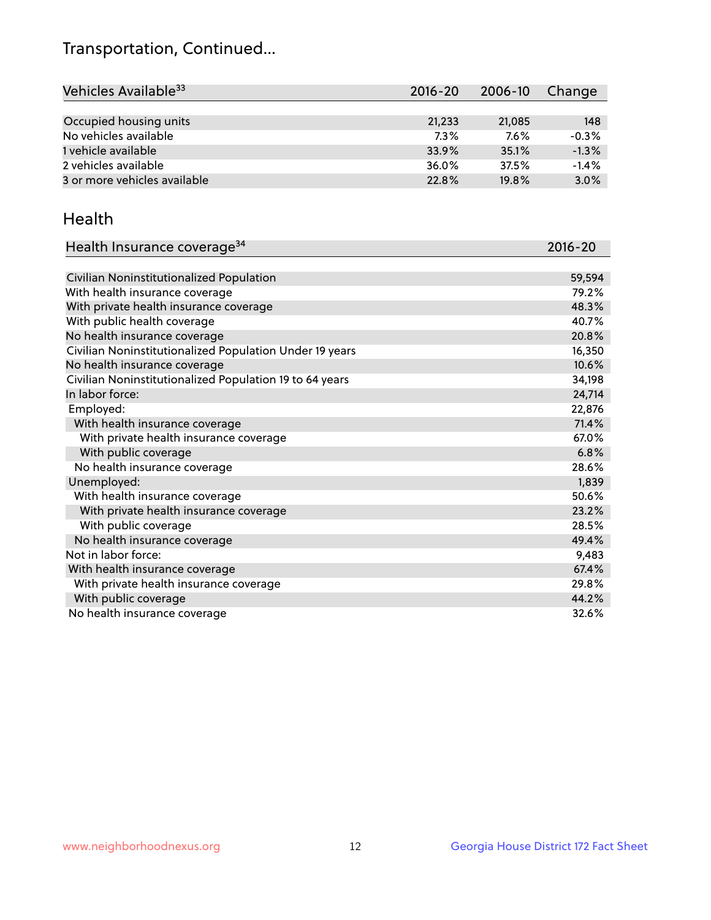## Transportation, Continued...

| Vehicles Available <sup>33</sup> | $2016 - 20$ | 2006-10 | Change  |
|----------------------------------|-------------|---------|---------|
|                                  |             |         |         |
| Occupied housing units           | 21,233      | 21,085  | 148     |
| No vehicles available            | 7.3%        | $7.6\%$ | $-0.3%$ |
| 1 vehicle available              | 33.9%       | 35.1%   | $-1.3%$ |
| 2 vehicles available             | 36.0%       | 37.5%   | $-1.4%$ |
| 3 or more vehicles available     | 22.8%       | 19.8%   | 3.0%    |

#### Health

| Health Insurance coverage <sup>34</sup>                 | 2016-20 |
|---------------------------------------------------------|---------|
|                                                         |         |
| Civilian Noninstitutionalized Population                | 59,594  |
| With health insurance coverage                          | 79.2%   |
| With private health insurance coverage                  | 48.3%   |
| With public health coverage                             | 40.7%   |
| No health insurance coverage                            | 20.8%   |
| Civilian Noninstitutionalized Population Under 19 years | 16,350  |
| No health insurance coverage                            | 10.6%   |
| Civilian Noninstitutionalized Population 19 to 64 years | 34,198  |
| In labor force:                                         | 24,714  |
| Employed:                                               | 22,876  |
| With health insurance coverage                          | 71.4%   |
| With private health insurance coverage                  | 67.0%   |
| With public coverage                                    | 6.8%    |
| No health insurance coverage                            | 28.6%   |
| Unemployed:                                             | 1,839   |
| With health insurance coverage                          | 50.6%   |
| With private health insurance coverage                  | 23.2%   |
| With public coverage                                    | 28.5%   |
| No health insurance coverage                            | 49.4%   |
| Not in labor force:                                     | 9,483   |
| With health insurance coverage                          | 67.4%   |
| With private health insurance coverage                  | 29.8%   |
| With public coverage                                    | 44.2%   |
| No health insurance coverage                            | 32.6%   |